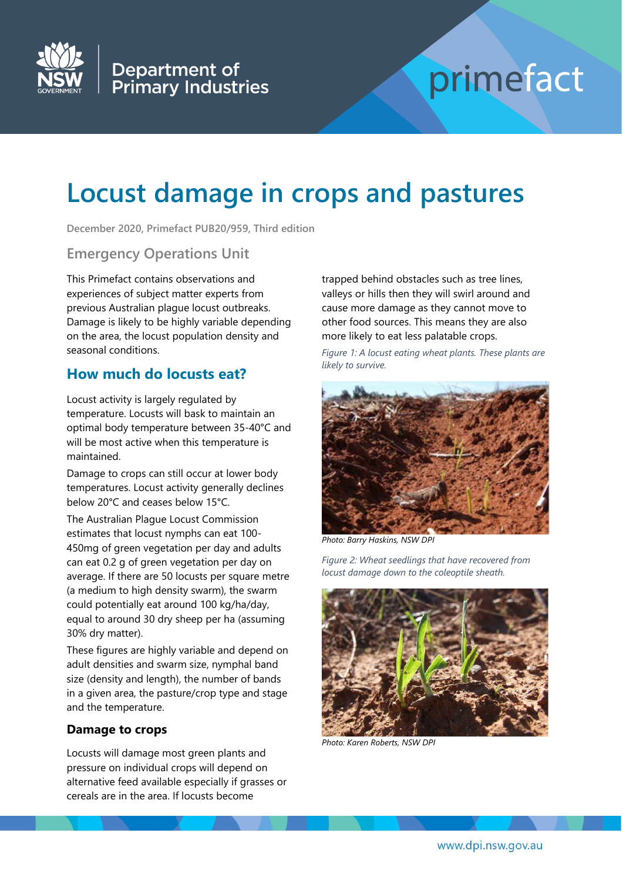

# primefact

## **Locust damage in crops and pastures**

**December 2020, Primefact PUB20/959, Third edition**

#### **Emergency Operations Unit**

This Primefact contains observations and experiences of subject matter experts from previous Australian plague locust outbreaks. Damage is likely to be highly variable depending on the area, the locust population density and seasonal conditions.

## **How much do locusts eat?**

Locust activity is largely regulated by temperature. Locusts will bask to maintain an optimal body temperature between 35-40°C and will be most active when this temperature is maintained.

Damage to crops can still occur at lower body temperatures. Locust activity generally declines below 20°C and ceases below 15°C.

The Australian Plague Locust Commission estimates that locust nymphs can eat 100- 450mg of green vegetation per day and adults can eat 0.2 g of green vegetation per day on average. If there are 50 locusts per square metre (a medium to high density swarm), the swarm could potentially eat around 100 kg/ha/day, equal to around 30 dry sheep per ha (assuming 30% dry matter).

These figures are highly variable and depend on adult densities and swarm size, nymphal band size (density and length), the number of bands in a given area, the pasture/crop type and stage and the temperature.

#### **Damage to crops**

Locusts will damage most green plants and pressure on individual crops will depend on alternative feed available especially if grasses or cereals are in the area. If locusts become

trapped behind obstacles such as tree lines, valleys or hills then they will swirl around and cause more damage as they cannot move to other food sources. This means they are also more likely to eat less palatable crops.

*Figure 1: A locust eating wheat plants. These plants are likely to survive.*



*Photo: Barry Haskins, NSW DPI*

*Figure 2: Wheat seedlings that have recovered from locust damage down to the coleoptile sheath.*



*Photo: Karen Roberts, NSW DPI*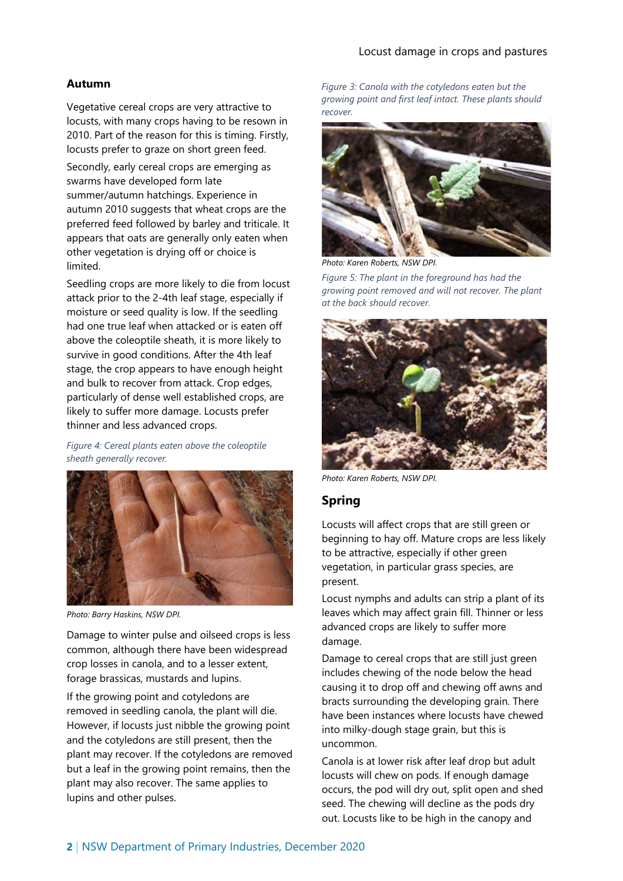#### Locust damage in crops and pastures

#### **Autumn**

Vegetative cereal crops are very attractive to locusts, with many crops having to be resown in 2010. Part of the reason for this is timing. Firstly, locusts prefer to graze on short green feed.

Secondly, early cereal crops are emerging as swarms have developed form late summer/autumn hatchings. Experience in autumn 2010 suggests that wheat crops are the preferred feed followed by barley and triticale. It appears that oats are generally only eaten when other vegetation is drying off or choice is limited.

Seedling crops are more likely to die from locust attack prior to the 2-4th leaf stage, especially if moisture or seed quality is low. If the seedling had one true leaf when attacked or is eaten off above the coleoptile sheath, it is more likely to survive in good conditions. After the 4th leaf stage, the crop appears to have enough height and bulk to recover from attack. Crop edges, particularly of dense well established crops, are likely to suffer more damage. Locusts prefer thinner and less advanced crops.

*Figure 4: Cereal plants eaten above the coleoptile sheath generally recover.*



*Photo: Barry Haskins, NSW DPI.*

Damage to winter pulse and oilseed crops is less common, although there have been widespread crop losses in canola, and to a lesser extent, forage brassicas, mustards and lupins.

If the growing point and cotyledons are removed in seedling canola, the plant will die. However, if locusts just nibble the growing point and the cotyledons are still present, then the plant may recover. If the cotyledons are removed but a leaf in the growing point remains, then the plant may also recover. The same applies to lupins and other pulses.

*Figure 3: Canola with the cotyledons eaten but the growing point and first leaf intact. These plants should recover.*



*Photo: Karen Roberts, NSW DPI.*

*Figure 5: The plant in the foreground has had the growing point removed and will not recover. The plant at the back should recover.*



*Photo: Karen Roberts, NSW DPI.*

#### **Spring**

Locusts will affect crops that are still green or beginning to hay off. Mature crops are less likely to be attractive, especially if other green vegetation, in particular grass species, are present.

Locust nymphs and adults can strip a plant of its leaves which may affect grain fill. Thinner or less advanced crops are likely to suffer more damage.

Damage to cereal crops that are still just green includes chewing of the node below the head causing it to drop off and chewing off awns and bracts surrounding the developing grain. There have been instances where locusts have chewed into milky-dough stage grain, but this is uncommon.

Canola is at lower risk after leaf drop but adult locusts will chew on pods. If enough damage occurs, the pod will dry out, split open and shed seed. The chewing will decline as the pods dry out. Locusts like to be high in the canopy and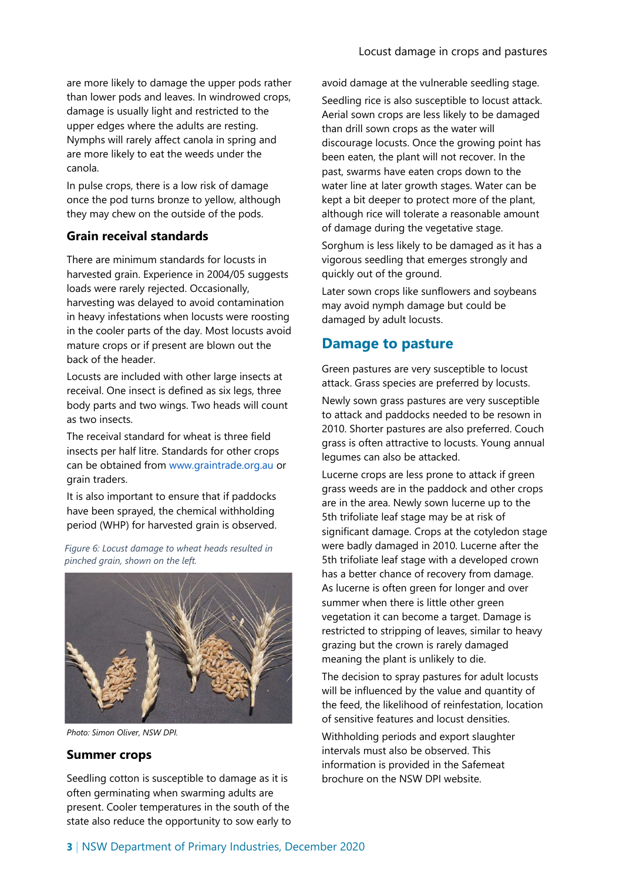are more likely to damage the upper pods rather than lower pods and leaves. In windrowed crops, damage is usually light and restricted to the upper edges where the adults are resting. Nymphs will rarely affect canola in spring and are more likely to eat the weeds under the canola.

In pulse crops, there is a low risk of damage once the pod turns bronze to yellow, although they may chew on the outside of the pods.

#### **Grain receival standards**

There are minimum standards for locusts in harvested grain. Experience in 2004/05 suggests loads were rarely rejected. Occasionally, harvesting was delayed to avoid contamination in heavy infestations when locusts were roosting in the cooler parts of the day. Most locusts avoid mature crops or if present are blown out the back of the header.

Locusts are included with other large insects at receival. One insect is defined as six legs, three body parts and two wings. Two heads will count as two insects.

The receival standard for wheat is three field insects per half litre. Standards for other crops can be obtained from [www.graintrade.org.au](http://www.graintrade.org.au/) or grain traders.

It is also important to ensure that if paddocks have been sprayed, the chemical withholding period (WHP) for harvested grain is observed.

*Figure 6: Locust damage to wheat heads resulted in pinched grain, shown on the left.*



*Photo: Simon Oliver, NSW DPI.*

#### **Summer crops**

Seedling cotton is susceptible to damage as it is often germinating when swarming adults are present. Cooler temperatures in the south of the state also reduce the opportunity to sow early to avoid damage at the vulnerable seedling stage.

Seedling rice is also susceptible to locust attack. Aerial sown crops are less likely to be damaged than drill sown crops as the water will discourage locusts. Once the growing point has been eaten, the plant will not recover. In the past, swarms have eaten crops down to the water line at later growth stages. Water can be kept a bit deeper to protect more of the plant, although rice will tolerate a reasonable amount of damage during the vegetative stage.

Sorghum is less likely to be damaged as it has a vigorous seedling that emerges strongly and quickly out of the ground.

Later sown crops like sunflowers and soybeans may avoid nymph damage but could be damaged by adult locusts.

## **Damage to pasture**

Green pastures are very susceptible to locust attack. Grass species are preferred by locusts.

Newly sown grass pastures are very susceptible to attack and paddocks needed to be resown in 2010. Shorter pastures are also preferred. Couch grass is often attractive to locusts. Young annual legumes can also be attacked.

Lucerne crops are less prone to attack if green grass weeds are in the paddock and other crops are in the area. Newly sown lucerne up to the 5th trifoliate leaf stage may be at risk of significant damage. Crops at the cotyledon stage were badly damaged in 2010. Lucerne after the 5th trifoliate leaf stage with a developed crown has a better chance of recovery from damage. As lucerne is often green for longer and over summer when there is little other green vegetation it can become a target. Damage is restricted to stripping of leaves, similar to heavy grazing but the crown is rarely damaged meaning the plant is unlikely to die.

The decision to spray pastures for adult locusts will be influenced by the value and quantity of the feed, the likelihood of reinfestation, location of sensitive features and locust densities.

Withholding periods and export slaughter intervals must also be observed. This information is provided in the Safemeat brochure on the NSW DPI website.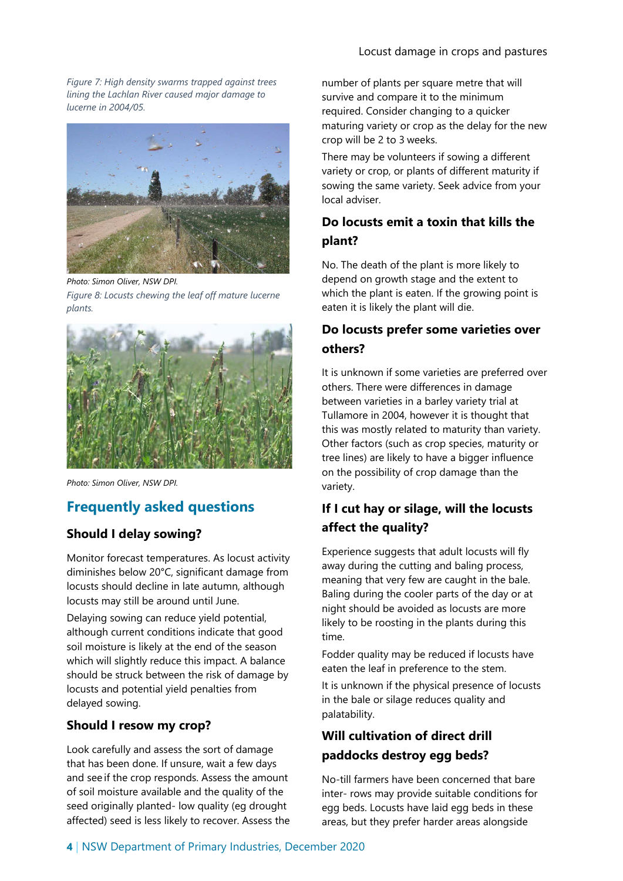*Figure 7: High density swarms trapped against trees lining the Lachlan River caused major damage to lucerne in 2004/05.*



*Photo: Simon Oliver, NSW DPI. Figure 8: Locusts chewing the leaf off mature lucerne plants.*



*Photo: Simon Oliver, NSW DPI.*

## **Frequently asked questions**

## **Should I delay sowing?**

Monitor forecast temperatures. As locust activity diminishes below 20°C, significant damage from locusts should decline in late autumn, although locusts may still be around until June.

Delaying sowing can reduce yield potential, although current conditions indicate that good soil moisture is likely at the end of the season which will slightly reduce this impact. A balance should be struck between the risk of damage by locusts and potential yield penalties from delayed sowing.

#### **Should I resow my crop?**

Look carefully and assess the sort of damage that has been done. If unsure, wait a few days and see if the crop responds. Assess the amount of soil moisture available and the quality of the seed originally planted- low quality (eg drought affected) seed is less likely to recover. Assess the number of plants per square metre that will survive and compare it to the minimum required. Consider changing to a quicker maturing variety or crop as the delay for the new crop will be 2 to 3 weeks.

There may be volunteers if sowing a different variety or crop, or plants of different maturity if sowing the same variety. Seek advice from your local adviser.

## **Do locusts emit a toxin that kills the plant?**

No. The death of the plant is more likely to depend on growth stage and the extent to which the plant is eaten. If the growing point is eaten it is likely the plant will die.

## **Do locusts prefer some varieties over others?**

It is unknown if some varieties are preferred over others. There were differences in damage between varieties in a barley variety trial at Tullamore in 2004, however it is thought that this was mostly related to maturity than variety. Other factors (such as crop species, maturity or tree lines) are likely to have a bigger influence on the possibility of crop damage than the variety.

## **If I cut hay or silage, will the locusts affect the quality?**

Experience suggests that adult locusts will fly away during the cutting and baling process, meaning that very few are caught in the bale. Baling during the cooler parts of the day or at night should be avoided as locusts are more likely to be roosting in the plants during this time.

Fodder quality may be reduced if locusts have eaten the leaf in preference to the stem.

It is unknown if the physical presence of locusts in the bale or silage reduces quality and palatability.

## **Will cultivation of direct drill paddocks destroy egg beds?**

No-till farmers have been concerned that bare inter- rows may provide suitable conditions for egg beds. Locusts have laid egg beds in these areas, but they prefer harder areas alongside